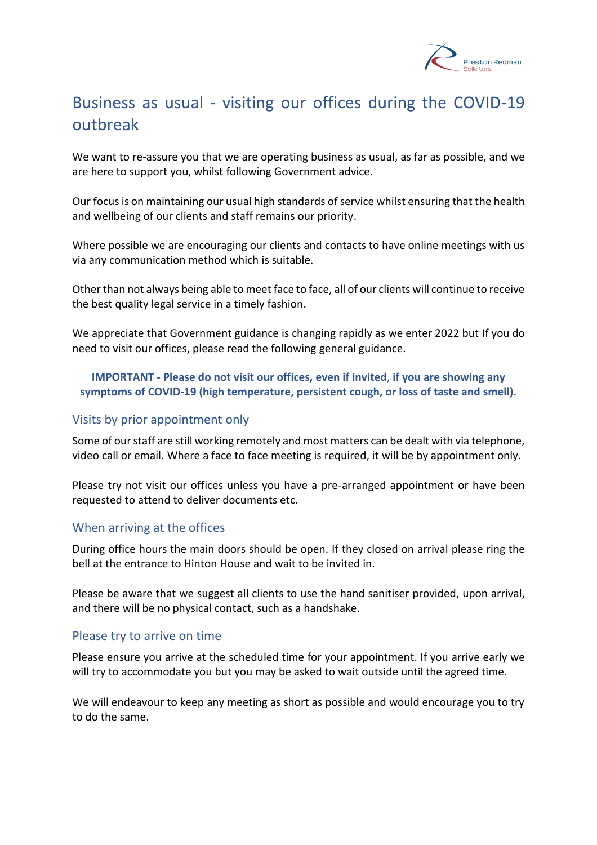

# Business as usual - visiting our offices during the COVID-19 outbreak

We want to re-assure you that we are operating business as usual, as far as possible, and we are here to support you, whilst following Government advice.

Our focus is on maintaining our usual high standards of service whilst ensuring that the health and wellbeing of our clients and staff remains our priority.

Where possible we are encouraging our clients and contacts to have online meetings with us via any communication method which is suitable.

Other than not always being able to meet face to face, all of our clients will continue to receive the best quality legal service in a timely fashion.

We appreciate that Government guidance is changing rapidly as we enter 2022 but If you do need to visit our offices, please read the following general guidance.

### **IMPORTANT - Please do not visit our offices, even if invited**, **if you are showing any symptoms of COVID-19 (high temperature, persistent cough, or loss of taste and smell).**

#### Visits by prior appointment only

Some of our staff are still working remotely and most matters can be dealt with via telephone, video call or email. Where a face to face meeting is required, it will be by appointment only.

Please try not visit our offices unless you have a pre-arranged appointment or have been requested to attend to deliver documents etc.

### When arriving at the offices

During office hours the main doors should be open. If they closed on arrival please ring the bell at the entrance to Hinton House and wait to be invited in.

Please be aware that we suggest all clients to use the hand sanitiser provided, upon arrival, and there will be no physical contact, such as a handshake.

### Please try to arrive on time

Please ensure you arrive at the scheduled time for your appointment. If you arrive early we will try to accommodate you but you may be asked to wait outside until the agreed time.

We will endeavour to keep any meeting as short as possible and would encourage you to try to do the same.